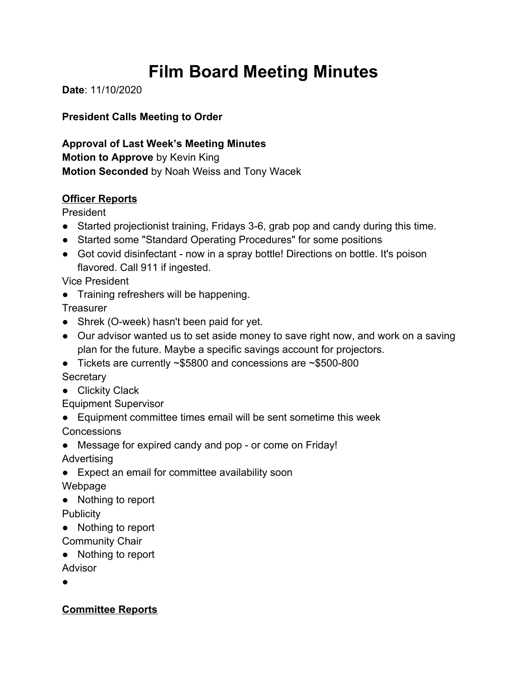# **Film Board Meeting Minutes**

**Date**: 11/10/2020

## **President Calls Meeting to Order**

**Approval of Last Week's Meeting Minutes Motion to Approve** by Kevin King **Motion Seconded** by Noah Weiss and Tony Wacek

### **Officer Reports**

President

- Started projectionist training, Fridays 3-6, grab pop and candy during this time.
- Started some "Standard Operating Procedures" for some positions
- Got covid disinfectant now in a spray bottle! Directions on bottle. It's poison flavored. Call 911 if ingested.

Vice President

● Training refreshers will be happening.

**Treasurer** 

- Shrek (O-week) hasn't been paid for yet.
- Our advisor wanted us to set aside money to save right now, and work on a saving plan for the future. Maybe a specific savings account for projectors.
- Tickets are currently  $\sim$ \$5800 and concessions are  $\sim$ \$500-800 **Secretary**
- Clickity Clack

Equipment Supervisor

- Equipment committee times email will be sent sometime this week Concessions
- Message for expired candy and pop or come on Friday!

Advertising

● Expect an email for committee availability soon

Webpage

● Nothing to report

**Publicity** 

- Nothing to report
- Community Chair
- Nothing to report

Advisor

●

## **Committee Reports**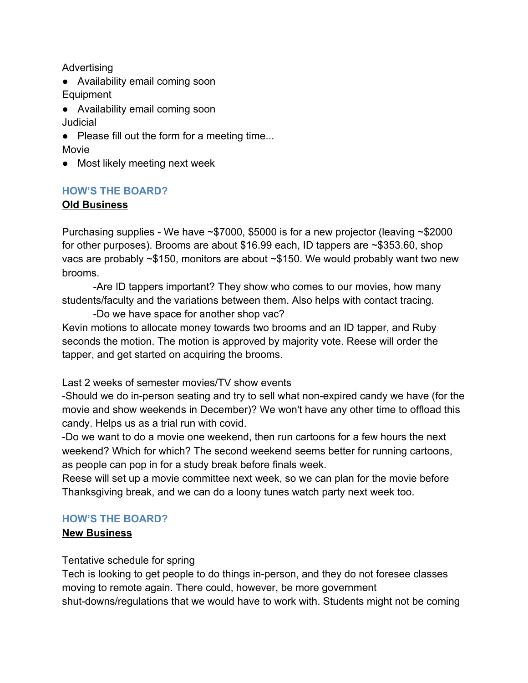Advertising

- Availability email coming soon Equipment
- Availability email coming soon **Judicial**
- Please fill out the form for a meeting time... Movie
- Most likely meeting next week

### **HOW'S THE BOARD?**

### **Old Business**

Purchasing supplies - We have ~\$7000, \$5000 is for a new projector (leaving ~\$2000 for other purposes). Brooms are about \$16.99 each, ID tappers are ~\$353.60, shop vacs are probably ~\$150, monitors are about ~\$150. We would probably want two new brooms.

-Are ID tappers important? They show who comes to our movies, how many students/faculty and the variations between them. Also helps with contact tracing.

-Do we have space for another shop vac? Kevin motions to allocate money towards two brooms and an ID tapper, and Ruby seconds the motion. The motion is approved by majority vote. Reese will order the tapper, and get started on acquiring the brooms.

Last 2 weeks of semester movies/TV show events

-Should we do in-person seating and try to sell what non-expired candy we have (for the movie and show weekends in December)? We won't have any other time to offload this candy. Helps us as a trial run with covid.

-Do we want to do a movie one weekend, then run cartoons for a few hours the next weekend? Which for which? The second weekend seems better for running cartoons, as people can pop in for a study break before finals week.

Reese will set up a movie committee next week, so we can plan for the movie before Thanksgiving break, and we can do a loony tunes watch party next week too.

#### **HOW'S THE BOARD?**

### **New Business**

Tentative schedule for spring

Tech is looking to get people to do things in-person, and they do not foresee classes moving to remote again. There could, however, be more government shut-downs/regulations that we would have to work with. Students might not be coming